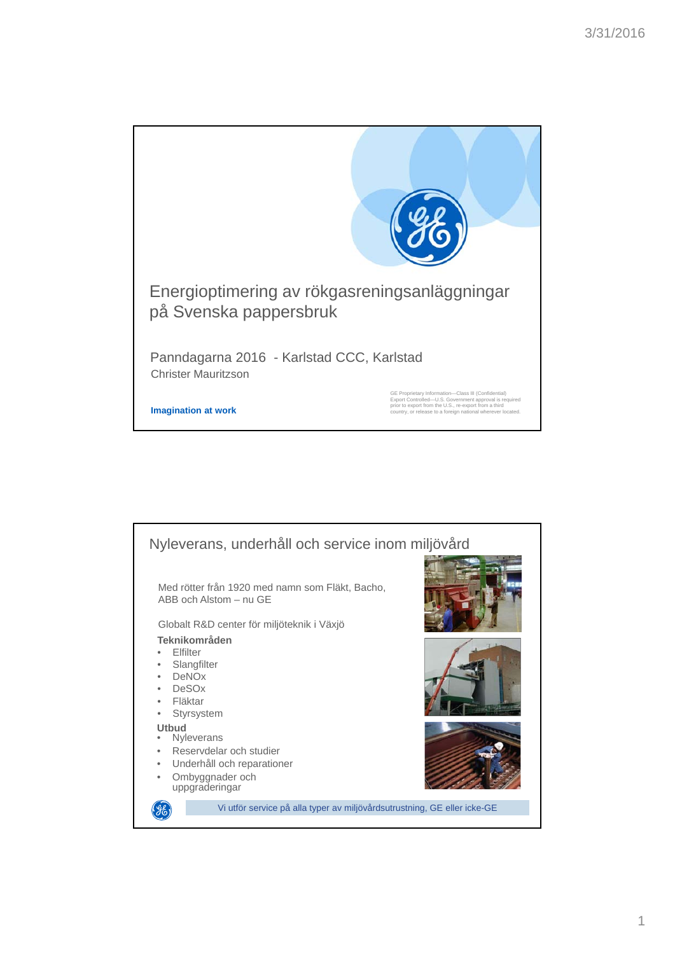

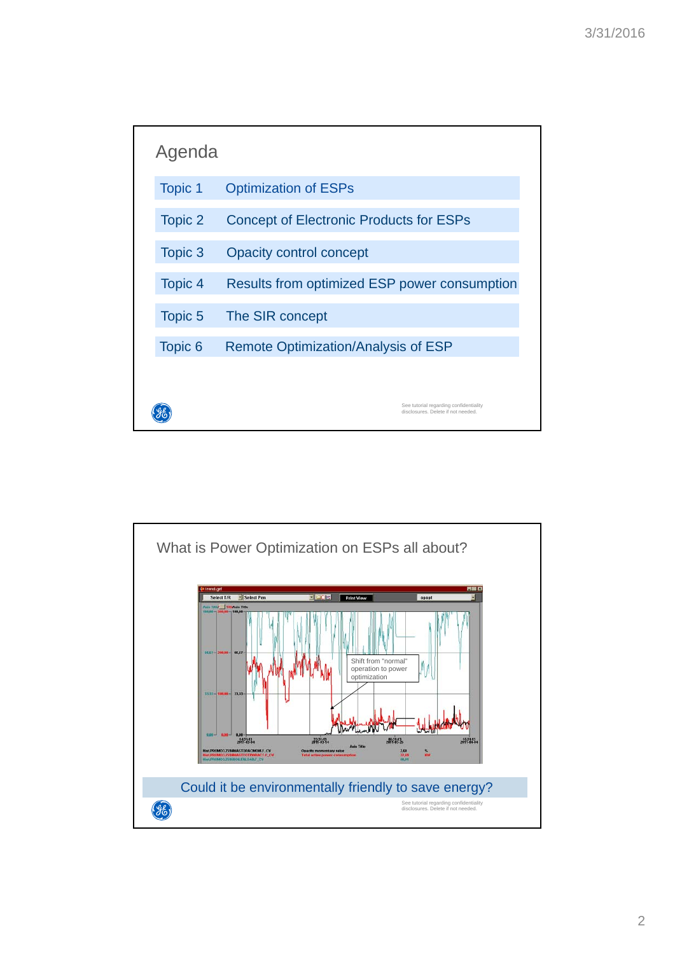

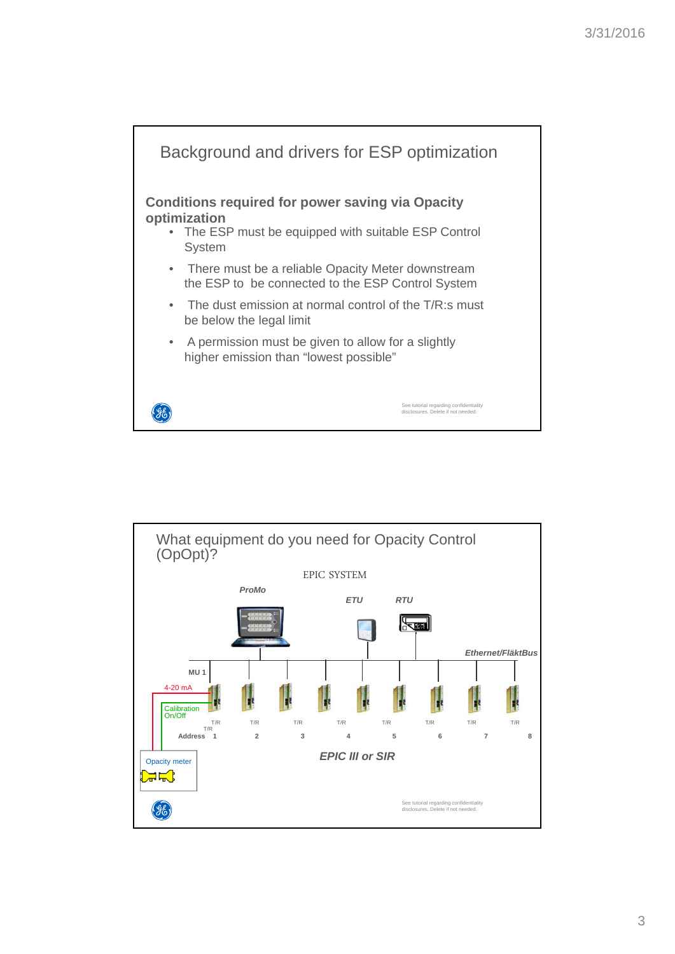

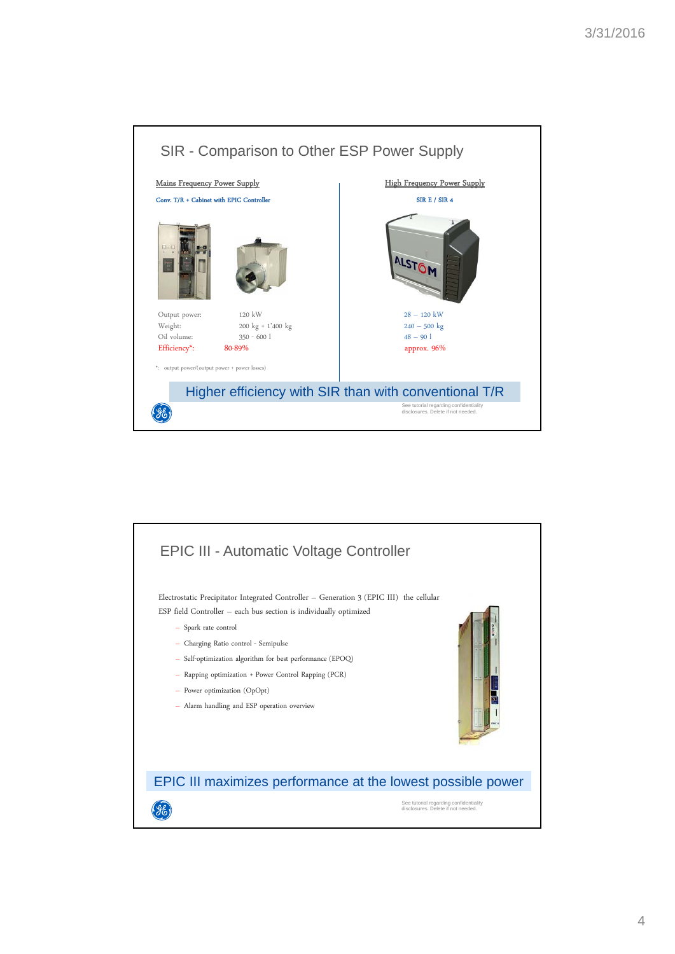

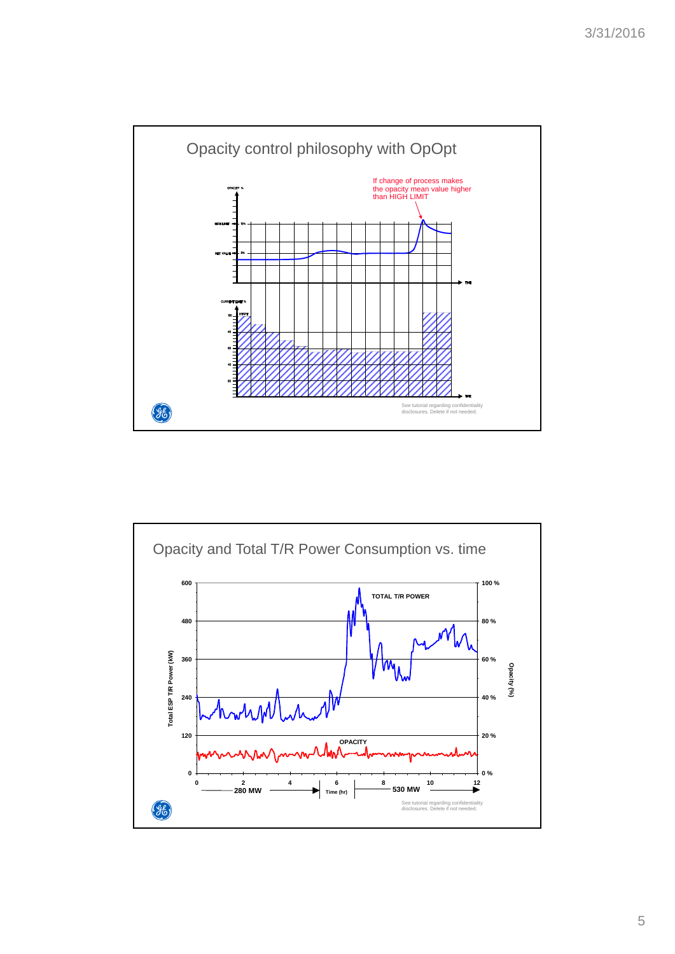

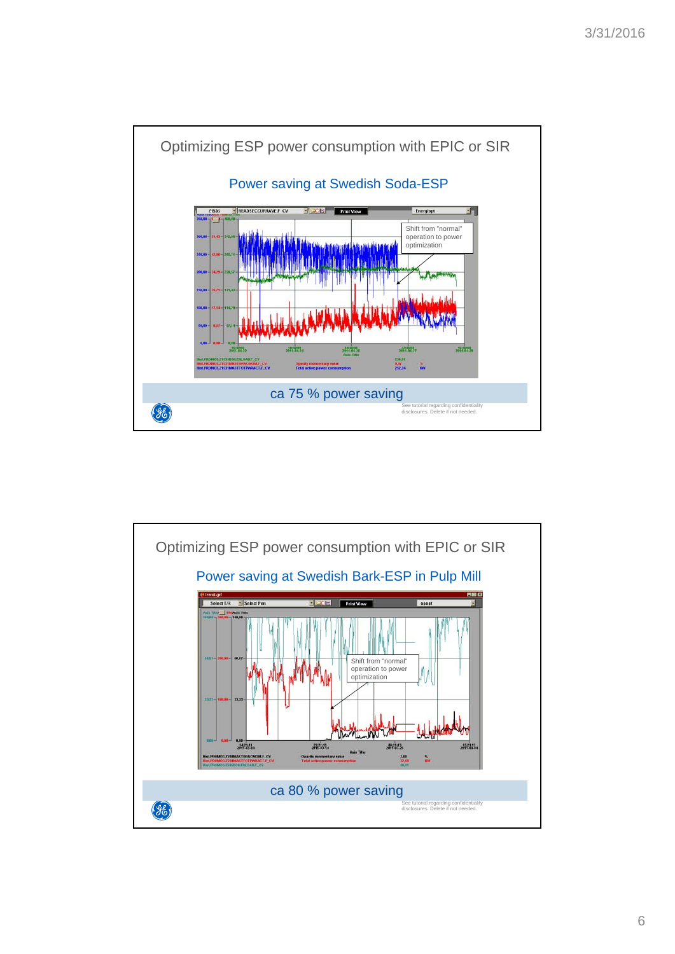

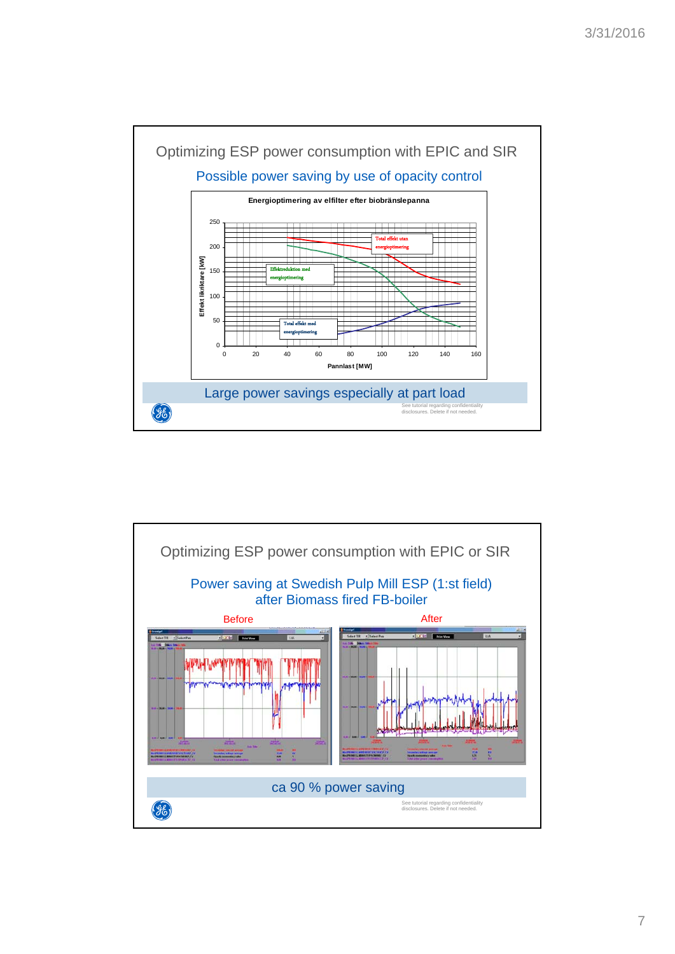

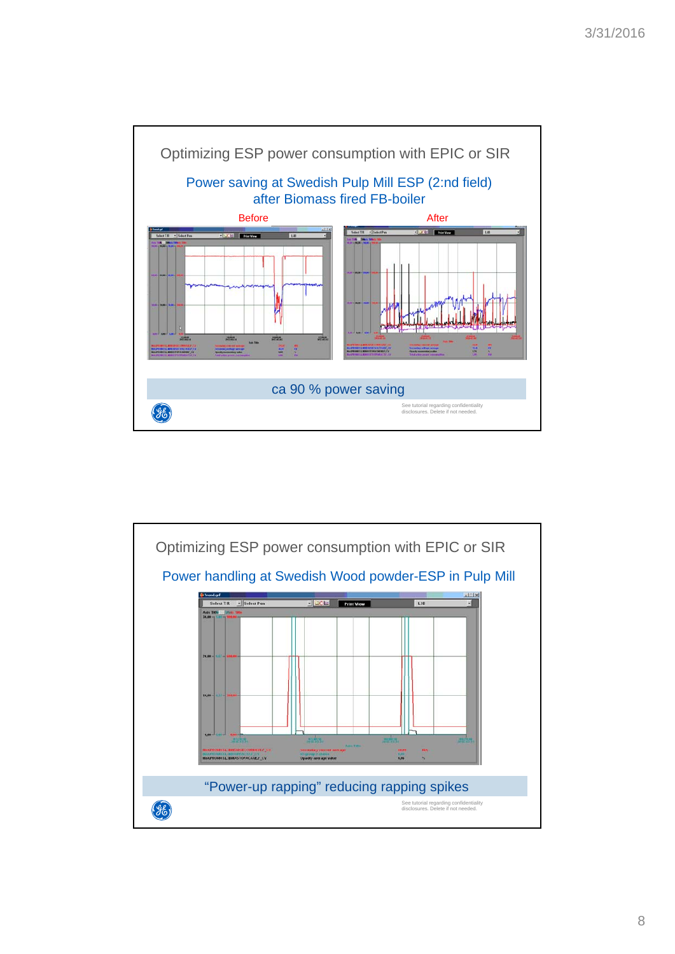

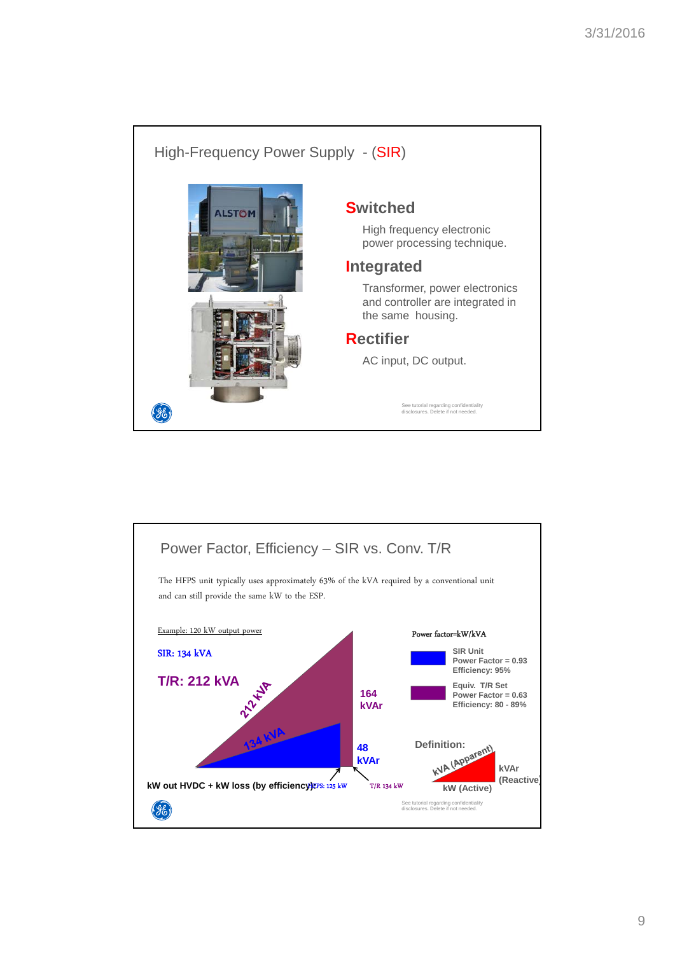

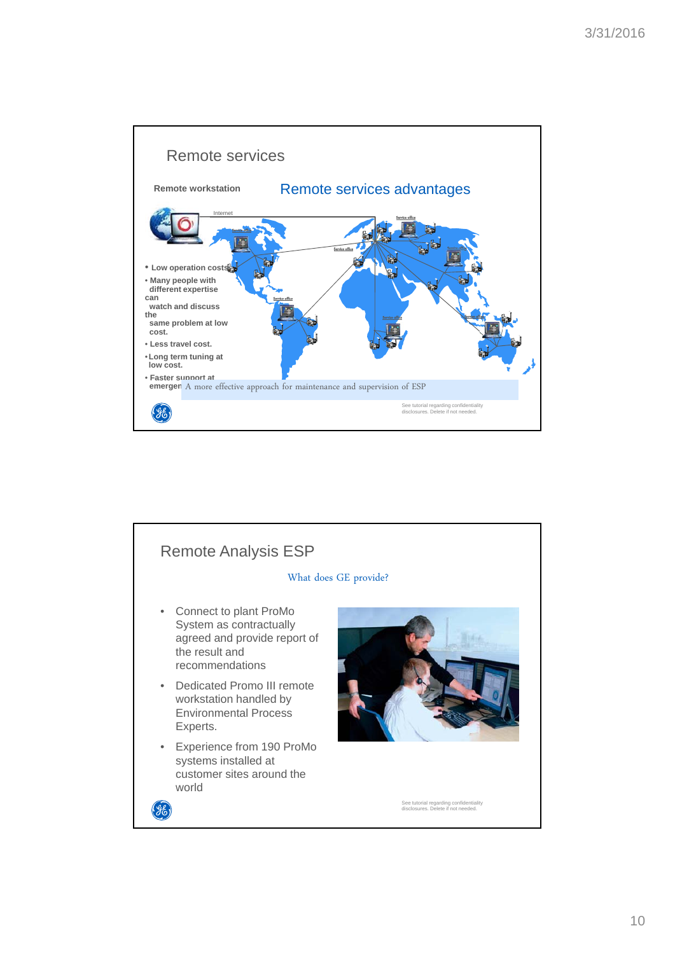

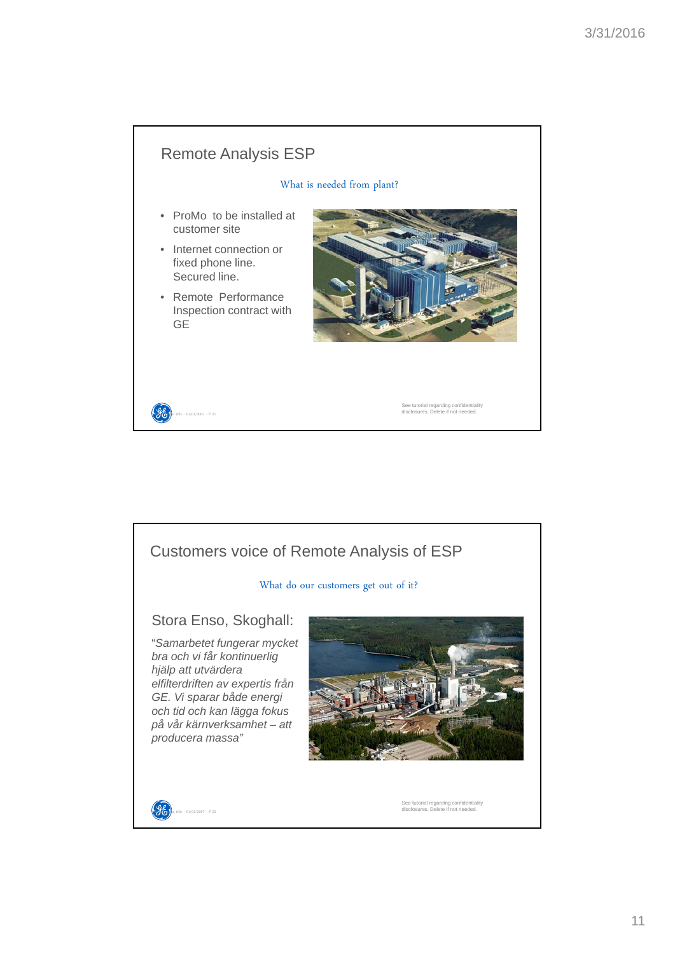